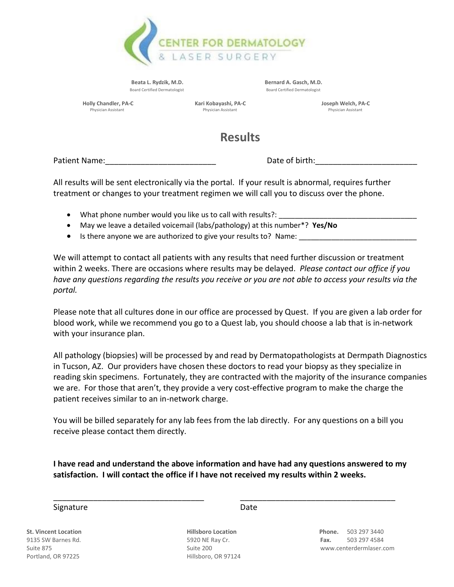

Beata L. Rydzik, M.D. **Beata L. Rydzik, M.D.** Bernard A. Gasch, M.D. Board Certified Dermatologist Board Certified Dermatologist

 **Holly Chandler, PA-C** *Kari Kobayashi, PA-C**Kari Joseph Welch, PA-C**Physician Assistant**Physician Assistant**Physician Assistant**Physician Assistant**Physician Assistant**Physician Assistant* Physician Assistant Physician Assistant Physician Assistant

## **Results**

Patient Name: etc. All the state of birth: the Date of birth:

All results will be sent electronically via the portal. If your result is abnormal, requires further treatment or changes to your treatment regimen we will call you to discuss over the phone.

- What phone number would you like us to call with results?:
- May we leave a detailed voicemail (labs/pathology) at this number\*? **Yes/No**
- Is there anyone we are authorized to give your results to? Name:

We will attempt to contact all patients with any results that need further discussion or treatment within 2 weeks. There are occasions where results may be delayed. *Please contact our office if you have any questions regarding the results you receive or you are not able to access your results via the portal.*

Please note that all cultures done in our office are processed by Quest. If you are given a lab order for blood work, while we recommend you go to a Quest lab, you should choose a lab that is in-network with your insurance plan.

All pathology (biopsies) will be processed by and read by Dermatopathologists at Dermpath Diagnostics in Tucson, AZ. Our providers have chosen these doctors to read your biopsy as they specialize in reading skin specimens. Fortunately, they are contracted with the majority of the insurance companies we are. For those that aren't, they provide a very cost-effective program to make the charge the patient receives similar to an in-network charge.

You will be billed separately for any lab fees from the lab directly. For any questions on a bill you receive please contact them directly.

**I have read and understand the above information and have had any questions answered to my satisfaction. I will contact the office if I have not received my results within 2 weeks.** 

\_\_\_\_\_\_\_\_\_\_\_\_\_\_\_\_\_\_\_\_\_\_\_\_\_\_\_\_\_\_\_\_\_\_ \_\_\_\_\_\_\_\_\_\_\_\_\_\_\_\_\_\_\_\_\_\_\_\_\_\_\_\_\_\_\_\_\_\_\_

## Signature Date Date

Portland, OR 97225 **Hillsboro, OR 97124** 

**St. Vincent Location Hillsboro Location Phone.** 503 297 3440 9135 SW Barnes Rd. 5920 NE Ray Cr. **Fax.** 503 297 4584 Suite 875 Suite 200 www.centerdermlaser.com